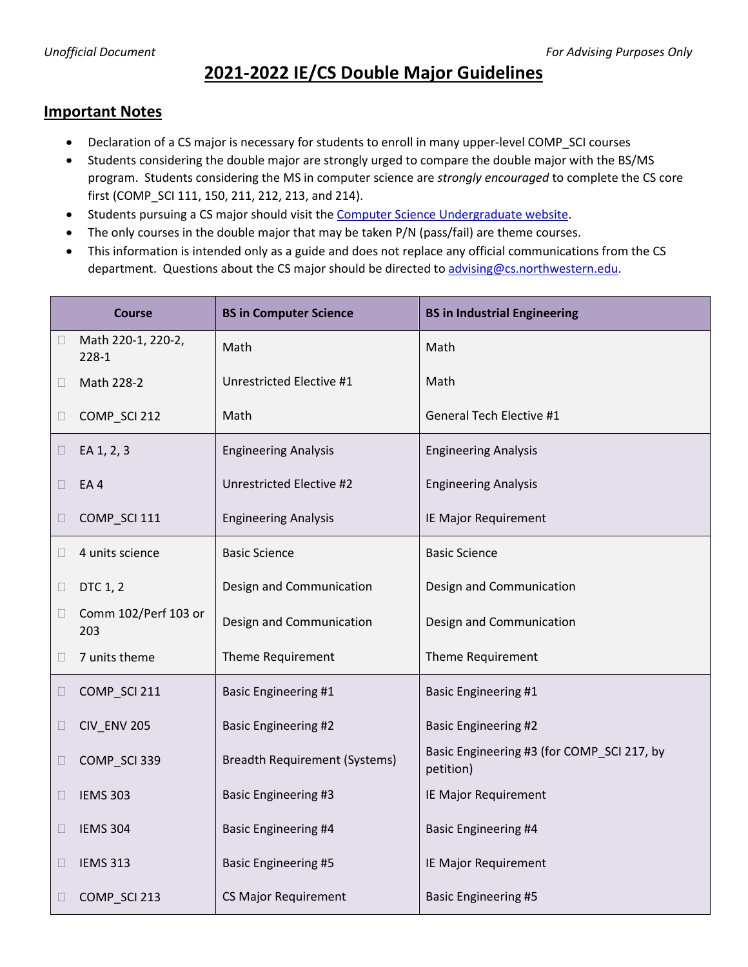## **2021-2022 IE/CS Double Major Guidelines**

## **Important Notes**

- Declaration of a CS major is necessary for students to enroll in many upper-level COMP\_SCI courses
- Students considering the double major are strongly urged to compare the double major with the BS/MS program. Students considering the MS in computer science are *strongly encouraged* to complete the CS core first (COMP\_SCI 111, 150, 211, 212, 213, and 214).
- Students pursuing a CS major should visit the **Computer Science Undergraduate website**.
- The only courses in the double major that may be taken P/N (pass/fail) are theme courses.
- This information is intended only as a guide and does not replace any official communications from the CS department. Questions about the CS major should be directed to [advising@cs.northwestern.edu.](mailto:advising@cs.northwestern.edu)

| <b>Course</b> |                             | <b>BS in Computer Science</b>        | <b>BS in Industrial Engineering</b>                     |
|---------------|-----------------------------|--------------------------------------|---------------------------------------------------------|
| $\Box$        | Math 220-1, 220-2,<br>228-1 | Math                                 | Math                                                    |
| $\Box$        | Math 228-2                  | Unrestricted Elective #1             | Math                                                    |
| $\Box$        | COMP_SCI 212                | Math                                 | General Tech Elective #1                                |
| $\Box$        | EA 1, 2, 3                  | <b>Engineering Analysis</b>          | <b>Engineering Analysis</b>                             |
| □             | EA4                         | Unrestricted Elective #2             | <b>Engineering Analysis</b>                             |
| $\Box$        | COMP_SCI 111                | <b>Engineering Analysis</b>          | IE Major Requirement                                    |
| $\Box$        | 4 units science             | <b>Basic Science</b>                 | <b>Basic Science</b>                                    |
| $\Box$        | DTC 1, 2                    | Design and Communication             | Design and Communication                                |
| $\Box$        | Comm 102/Perf 103 or<br>203 | Design and Communication             | Design and Communication                                |
|               | 7 units theme               | Theme Requirement                    | Theme Requirement                                       |
| $\Box$        | COMP_SCI 211                | <b>Basic Engineering #1</b>          | <b>Basic Engineering #1</b>                             |
| $\Box$        | <b>CIV_ENV 205</b>          | <b>Basic Engineering #2</b>          | <b>Basic Engineering #2</b>                             |
| $\Box$        | COMP_SCI 339                | <b>Breadth Requirement (Systems)</b> | Basic Engineering #3 (for COMP_SCI 217, by<br>petition) |
| $\Box$        | <b>IEMS 303</b>             | <b>Basic Engineering #3</b>          | IE Major Requirement                                    |
| $\Box$        | <b>IEMS 304</b>             | <b>Basic Engineering #4</b>          | <b>Basic Engineering #4</b>                             |
| $\Box$        | <b>IEMS 313</b>             | <b>Basic Engineering #5</b>          | IE Major Requirement                                    |
| $\Box$        | COMP_SCI 213                | <b>CS Major Requirement</b>          | <b>Basic Engineering #5</b>                             |